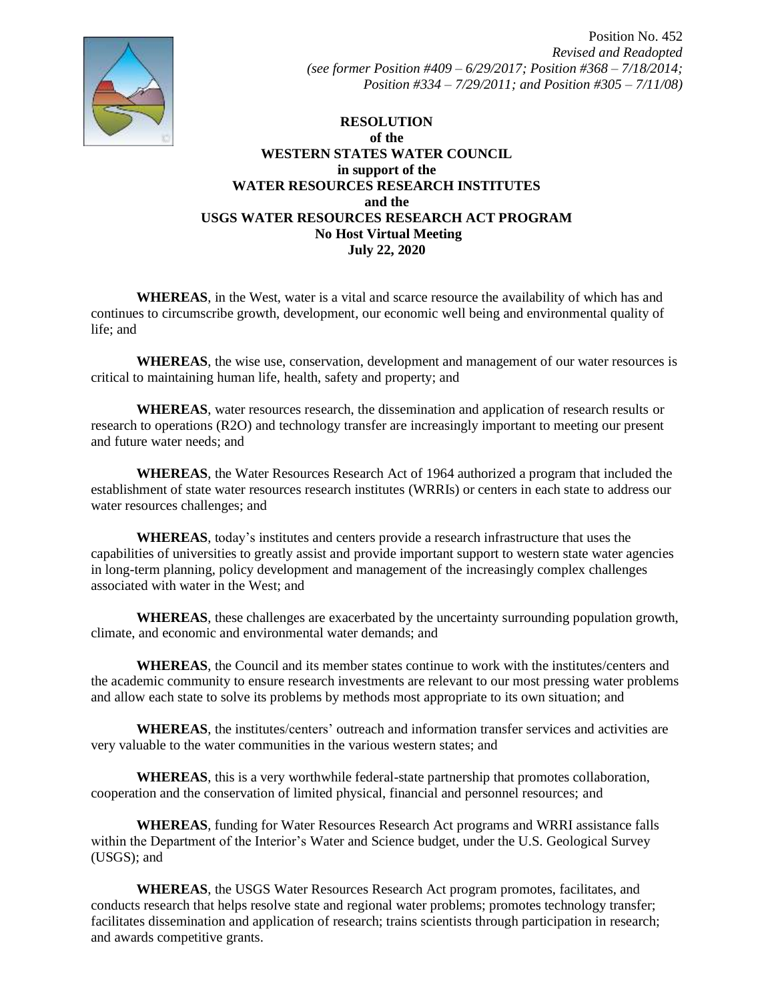

## **RESOLUTION of the WESTERN STATES WATER COUNCIL in support of the WATER RESOURCES RESEARCH INSTITUTES and the USGS WATER RESOURCES RESEARCH ACT PROGRAM No Host Virtual Meeting July 22, 2020**

**WHEREAS**, in the West, water is a vital and scarce resource the availability of which has and continues to circumscribe growth, development, our economic well being and environmental quality of life; and

**WHEREAS**, the wise use, conservation, development and management of our water resources is critical to maintaining human life, health, safety and property; and

**WHEREAS**, water resources research, the dissemination and application of research results or research to operations (R2O) and technology transfer are increasingly important to meeting our present and future water needs; and

**WHEREAS**, the Water Resources Research Act of 1964 authorized a program that included the establishment of state water resources research institutes (WRRIs) or centers in each state to address our water resources challenges; and

**WHEREAS**, today's institutes and centers provide a research infrastructure that uses the capabilities of universities to greatly assist and provide important support to western state water agencies in long-term planning, policy development and management of the increasingly complex challenges associated with water in the West; and

**WHEREAS**, these challenges are exacerbated by the uncertainty surrounding population growth, climate, and economic and environmental water demands; and

**WHEREAS**, the Council and its member states continue to work with the institutes/centers and the academic community to ensure research investments are relevant to our most pressing water problems and allow each state to solve its problems by methods most appropriate to its own situation; and

**WHEREAS**, the institutes/centers' outreach and information transfer services and activities are very valuable to the water communities in the various western states; and

**WHEREAS**, this is a very worthwhile federal-state partnership that promotes collaboration, cooperation and the conservation of limited physical, financial and personnel resources; and

**WHEREAS**, funding for Water Resources Research Act programs and WRRI assistance falls within the Department of the Interior's Water and Science budget, under the U.S. Geological Survey (USGS); and

**WHEREAS**, the USGS Water Resources Research Act program promotes, facilitates, and conducts research that helps resolve state and regional water problems; promotes technology transfer; facilitates dissemination and application of research; trains scientists through participation in research; and awards competitive grants.